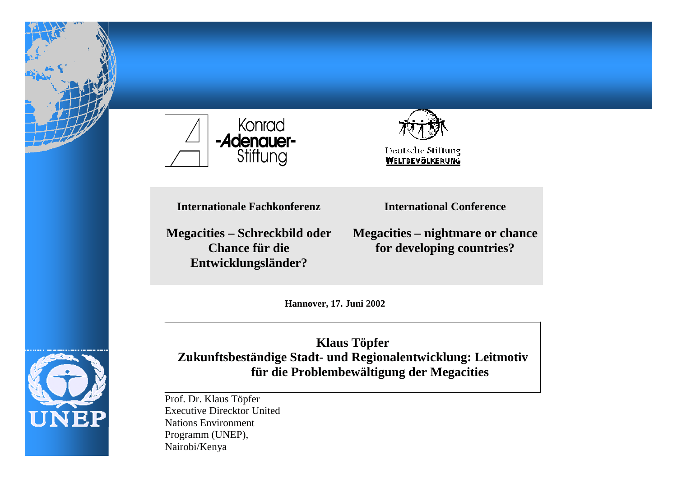



**Internationale Fachkonferenz**

**Megacities – Schreckbild oder Chance für dieEntwicklungsländer?**

**International Conference**

**Megacities – nightmare or chance for developing countries?**

**Hannover, 17. Juni 2002**



**Klaus Töpfer Zukunftsbeständige Stadt- und Regionalentwicklung: Leitmotiv für die Problembewältigung der Megacities**

Prof. Dr. Klaus Töpfer Executive Direcktor UnitedNations EnvironmentProgramm (UNEP), Nairobi/Kenya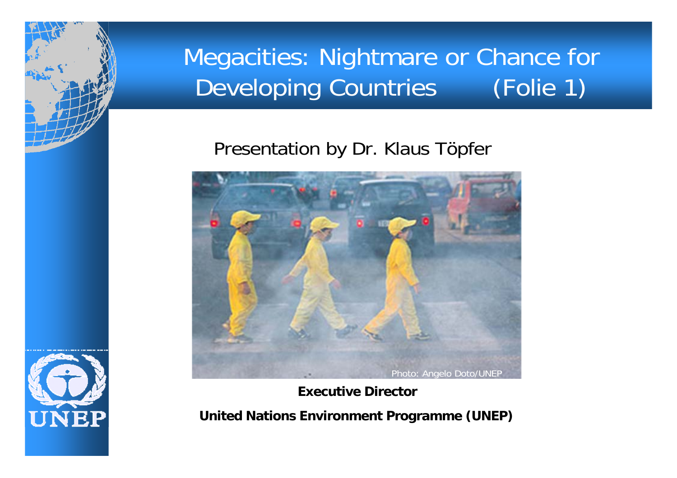

### Presentation by Dr. Klaus Töpfer



**Executive Director**

**United Nations Environment Programme (UNEP)**

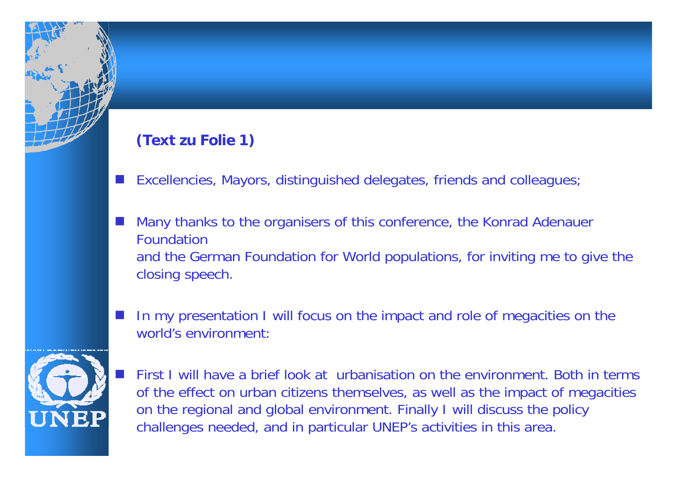#### **(Text zu Folie 1)**

- H Excellencies, Mayors, distinguished delegates, friends and colleagues;
- H Many thanks to the organisers of this conference, the Konrad Adenauer Foundation and the German Foundation for World populations, for inviting me to give the closing speech.
- F. In my presentation I will focus on the impact and role of megacities on the world's environment:



 First I will have a brief look at urbanisation on the environment. Both in terms of the effect on urban citizens themselves, as well as the impact of megacities on the regional and global environment. Finally I will discuss the policy challenges needed, and in particular UNEP's activities in this area.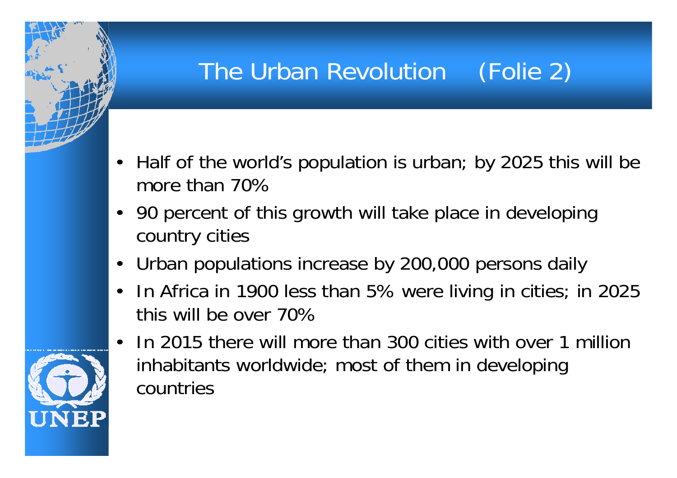# The Urban Revolution (Folie 2)

- Half of the world's population is urban; by 2025 this will be more than 70%
- 90 percent of this growth will take place in developing country cities
- $\bullet$ Urban populations increase by 200,000 persons daily
- $\bullet$  In Africa in 1900 less than 5% were living in cities; in 2025 this will be over 70%



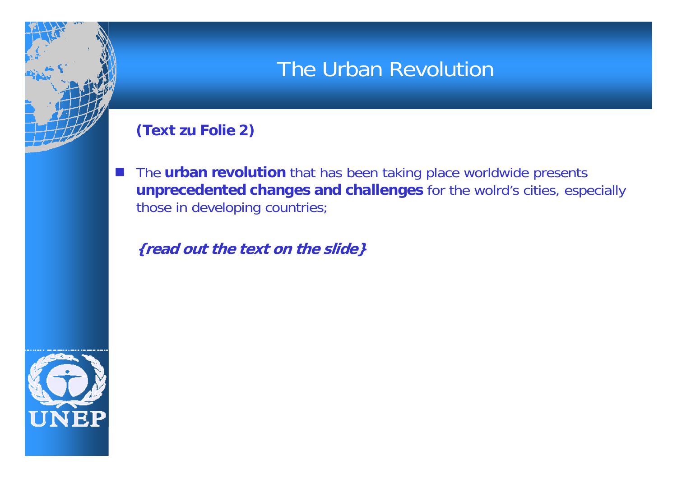### The Urban Revolution

#### **(Text zu Folie 2)**

H

 The **urban revolution** that has been taking place worldwide presents **unprecedented changes and challenges** for the wolrd's cities, especially those in developing countries;

**{read out the text on the slide}**

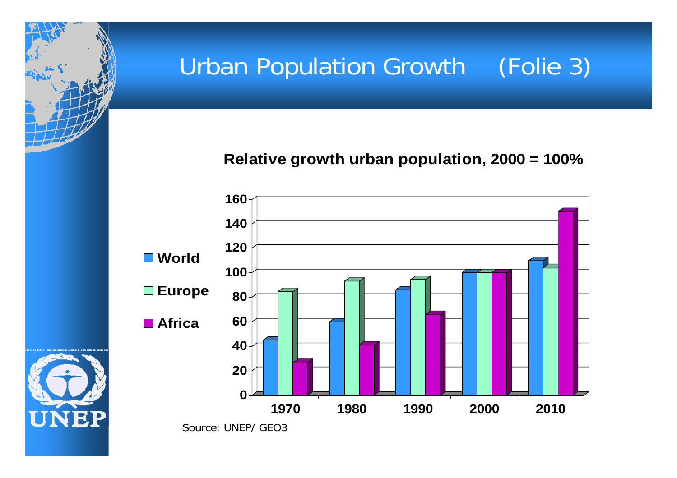# Urban Population Growth (Folie 3)

**Relative growth urban population, 2000 = 100%** 

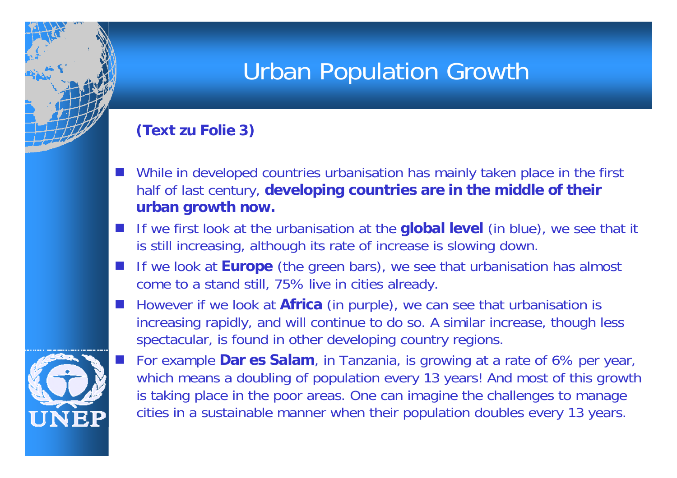## Urban Population Growth

#### **(Text zu Folie 3)**

- H While in developed countries urbanisation has mainly taken place in the first half of last century, **developing countries are in the middle of their urban growth now.**
- F. If we first look at the urbanisation at the **global level** (in blue), we see that it is still increasing, although its rate of increase is slowing down.
- F. If we look at **Europe** (the green bars), we see that urbanisation has almost come to a stand still, 75% live in cities already.
- F. However if we look at **Africa** (in purple), we can see that urbanisation is increasing rapidly, and will continue to do so. A similar increase, though less spectacular, is found in other developing country regions.

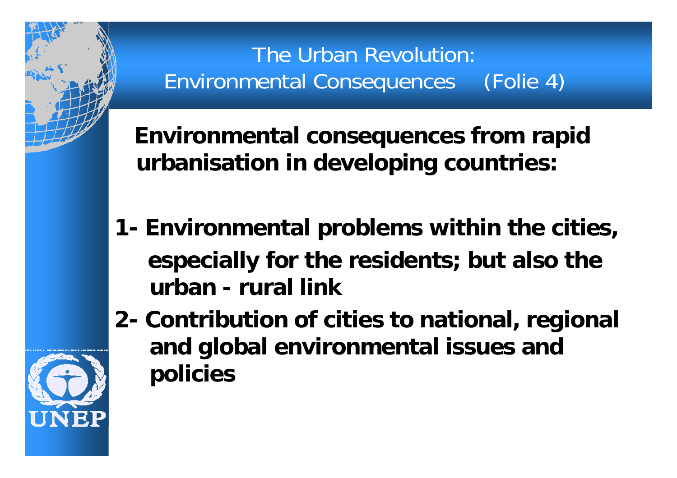The Urban Revolution: Environmental Consequences (Folie 4)

**Environmental consequences from rapid urbanisation in developing countries:**

- **1- Environmental problems within the cities, especially for the residents; but also the urban - rural link**
- **2- Contribution of cities to national, regional and global environmental issues and policies**

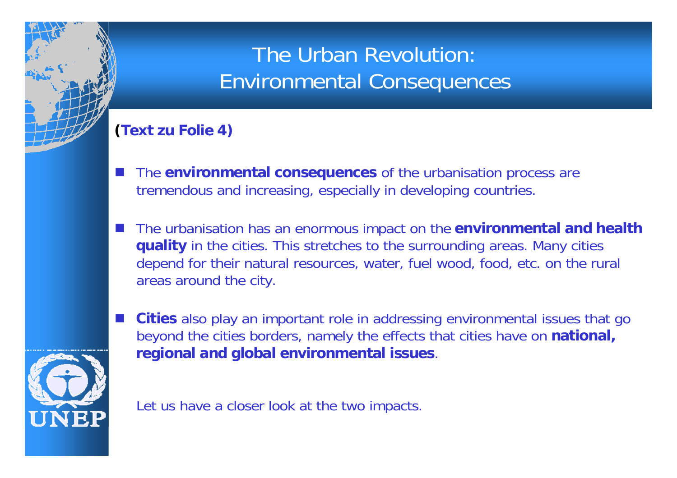### The Urban Revolution: Environmental Consequences

#### **(Text zu Folie 4)**

- H The **environmental consequences** of the urbanisation process are tremendous and increasing, especially in developing countries.
- F. The urbanisation has an enormous impact on the **environmental and health quality** in the cities. This stretches to the surrounding areas. Many cities depend for their natural resources, water, fuel wood, food, etc. on the rural areas around the city.



H

 **Cities** also play an important role in addressing environmental issues that go beyond the cities borders, namely the effects that cities have on **national, regional and global environmental issues**.

Let us have a closer look at the two impacts.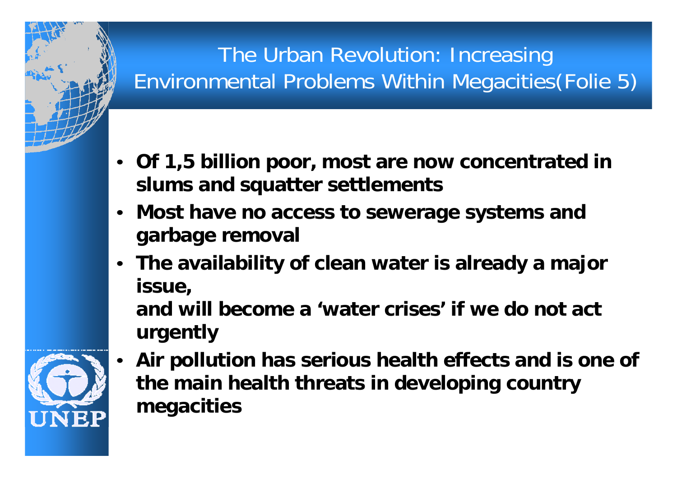## The Urban Revolution: Increasing Environmental Problems Within Megacities(Folie 5)

- **Of 1,5 billion poor, most are now concentrated in slums and squatter settlements**
- **Most have no access to sewerage systems and garbage removal**
- **The availability of clean water is already a major issue, and will become a 'water crises' if we do not act**

**urgently**

 **Air pollution has serious health effects and is one of the main health threats in developing country megacities**

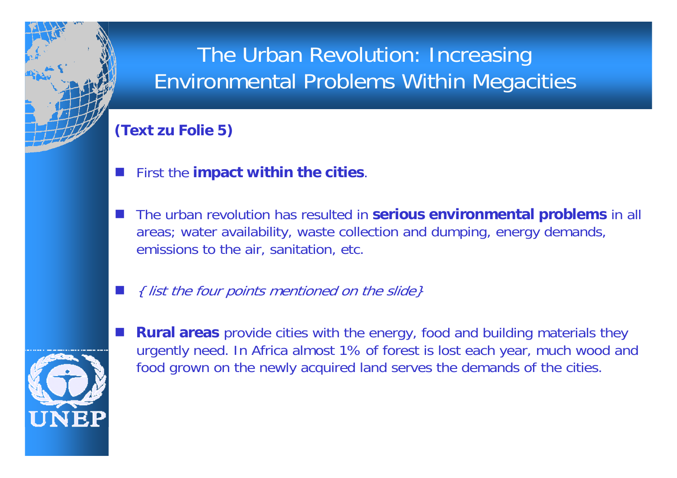### The Urban Revolution: Increasing Environmental Problems Within Megacities

#### **(Text zu Folie 5)**

- H First the **impact within the cities**.
- The urban revolution has resulted in **serious environmental problems** in all areas; water availability, waste collection and dumping, energy demands, emissions to the air, sanitation, etc.
- F. { list the four points mentioned on the slide}



H **Rural areas** provide cities with the energy, food and building materials they urgently need. In Africa almost 1% of forest is lost each year, much wood and food grown on the newly acquired land serves the demands of the cities.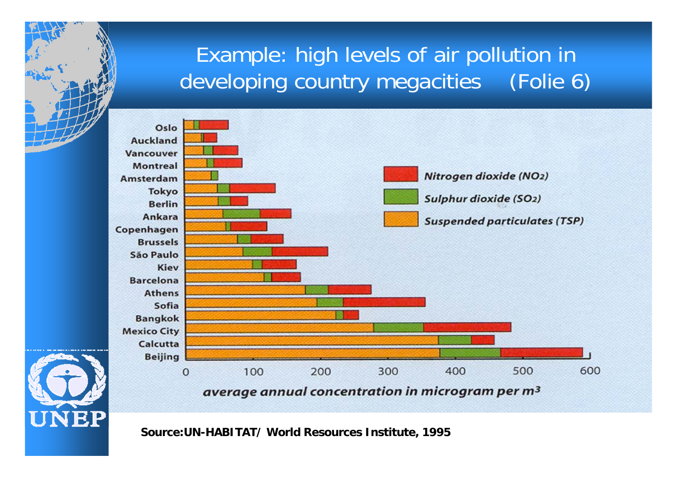### Example: high levels of air pollution in developing country megacities (Folie 6)



**Source:UN-HABITAT/ World Resources Institute, 1995**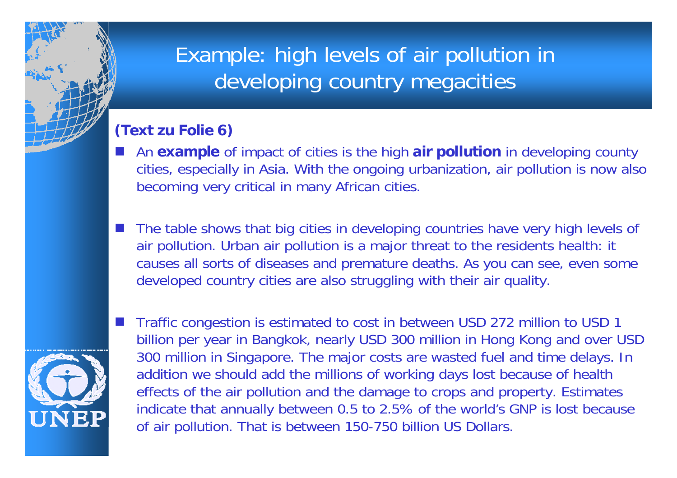### Example: high levels of air pollution in developing country megacities

#### **(Text zu Folie 6)**

- H An **example** of impact of cities is the high **air pollution** in developing county cities, especially in Asia. With the ongoing urbanization, air pollution is now also becoming very critical in many African cities.
- F. The table shows that big cities in developing countries have very high levels of air pollution. Urban air pollution is a major threat to the residents health: it causes all sorts of diseases and premature deaths. As you can see, even some developed country cities are also struggling with their air quality.



H

 Traffic congestion is estimated to cost in between USD 272 million to USD 1 billion per year in Bangkok, nearly USD 300 million in Hong Kong and over USD 300 million in Singapore. The major costs are wasted fuel and time delays. In addition we should add the millions of working days lost because of health effects of the air pollution and the damage to crops and property. Estimates indicate that annually between 0.5 to 2.5% of the world's GNP is lost because of air pollution. That is between 150-750 billion US Dollars.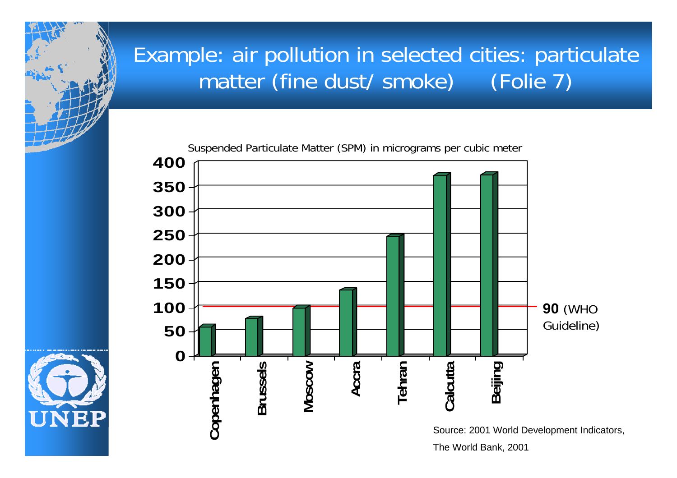### Example: air pollution in selected cities: particulate matter (fine dust/ smoke) (Folie 7)

Suspended Particulate Matter (SPM) in micrograms per cubic meter



The World Bank, 2001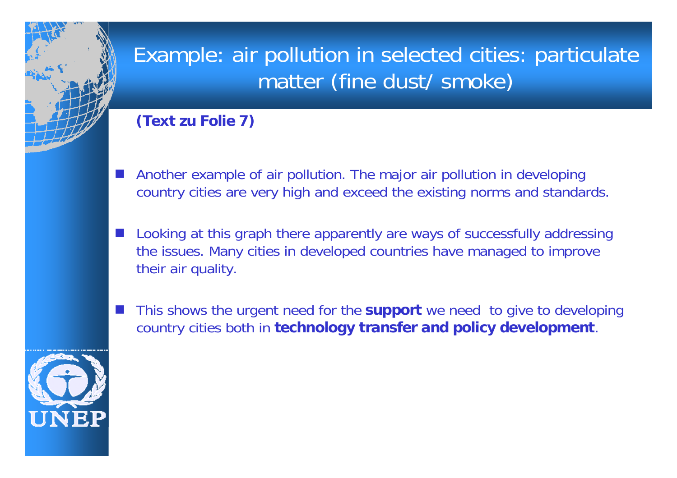### Example: air pollution in selected cities: particulate matter (fine dust/ smoke)

#### **(Text zu Folie 7)**

- H Another example of air pollution. The major air pollution in developing country cities are very high and exceed the existing norms and standards.
- F. Looking at this graph there apparently are ways of successfully addressing the issues. Many cities in developed countries have managed to improve their air quality.
- H This shows the urgent need for the **support** we need to give to developing country cities both in **technology transfer and policy development**.

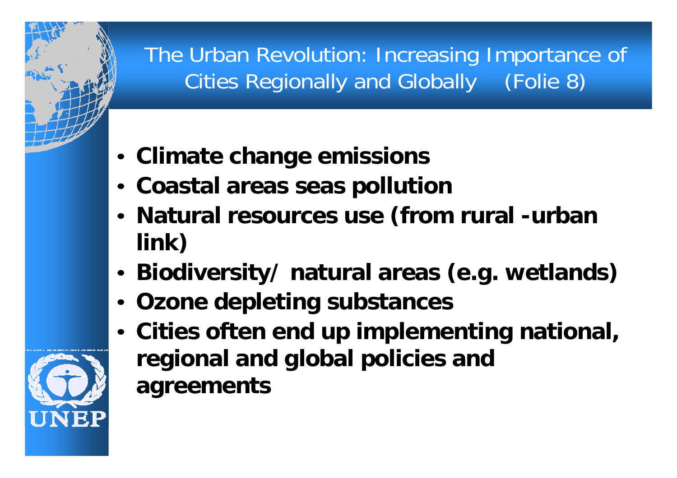The Urban Revolution: Increasing Importance of Cities Regionally and Globally (Folie 8)

- **Climate change emissions**
- **Coastal areas seas pollution**
- • **Natural resources use (from rural -urban link)**
- •**Biodiversity/ natural areas (e.g. wetlands)**
- **Ozone depleting substances**
- **Cities often end up implementing national, regional and global policies and agreements**

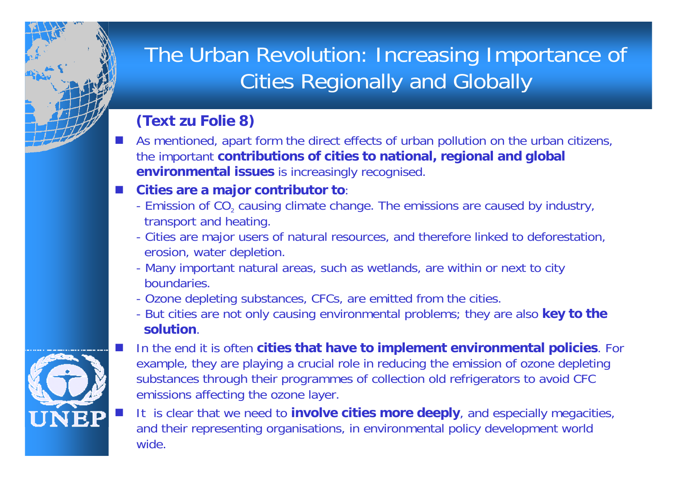### The Urban Revolution: Increasing Importance of Cities Regionally and Globally

### **(Text zu Folie 8)**

 $\vert \cdot \vert$  As mentioned, apart form the direct effects of urban pollution on the urban citizens, the important **contributions of cities to national, regional and global environmental issues** is increasingly recognised.

#### **Cities are a major contributor to**:

- Emission of CO $_{\scriptscriptstyle 2}$  causing climate change. The emissions are caused by industry, transport and heating.
- Cities are major users of natural resources, and therefore linked to deforestation, erosion, water depletion.
- Many important natural areas, such as wetlands, are within or next to city boundaries.
- Ozone depleting substances, CFCs, are emitted from the cities.
- But cities are not only causing environmental problems; they are also **key to the solution**.
- $\mathbb{R}^2$
- In the end it is often **cities that have to implement environmental policies**. For example, they are playing a crucial role in reducing the emission of ozone depleting substances through their programmes of collection old refrigerators to avoid CFC emissions affecting the ozone layer.
- It is clear that we need to **involve cities more deeply**, and especially megacities, and their representing organisations, in environmental policy development world wide.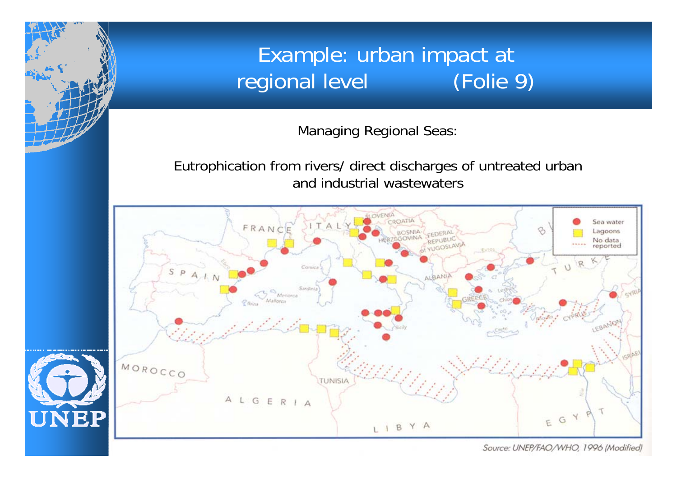### Example: urban impact at regional level (Folie 9)

Managing Regional Seas:

Eutrophication from rivers/ direct discharges of untreated urban and industrial wastewaters





Source: UNEP/FAO/WHO, 1996 (Modified)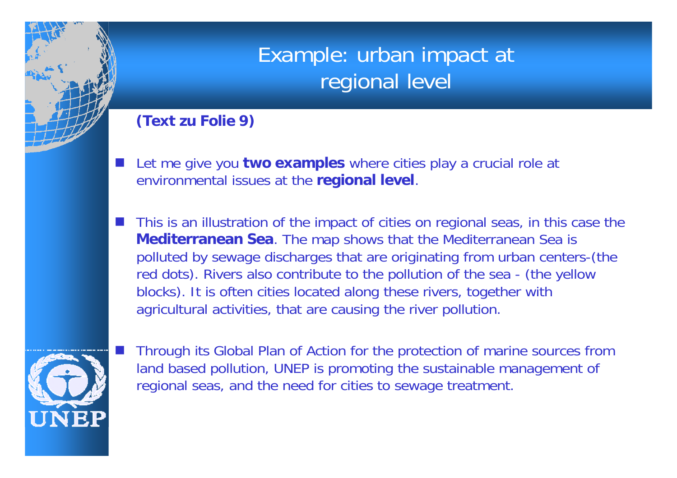### Example: urban impact at regional level

#### **(Text zu Folie 9)**

- H Let me give you **two examples** where cities play a crucial role at environmental issues at the **regional level**.
- H This is an illustration of the impact of cities on regional seas, in this case the **Mediterranean Sea**. The map shows that the Mediterranean Sea is polluted by sewage discharges that are originating from urban centers-(the red dots). Rivers also contribute to the pollution of the sea - (the yellow blocks). It is often cities located along these rivers, together with agricultural activities, that are causing the river pollution.



H

 Through its Global Plan of Action for the protection of marine sources from land based pollution, UNEP is promoting the sustainable management of regional seas, and the need for cities to sewage treatment.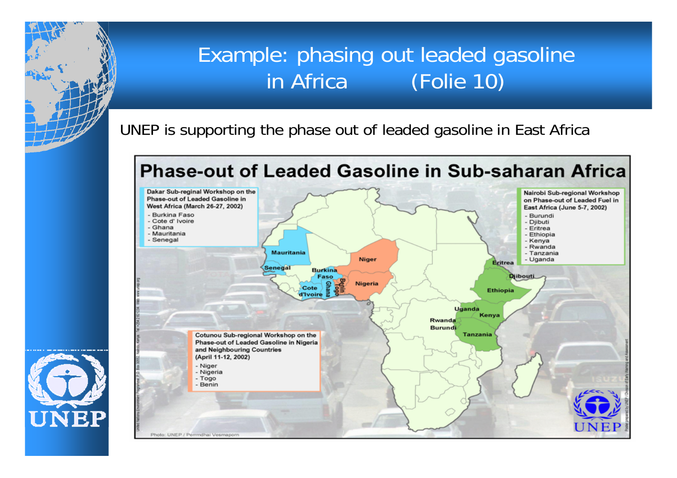### Example: phasing out leaded gasoline in Africa (Folie 10)

UNEP is supporting the phase out of leaded gasoline in East Africa

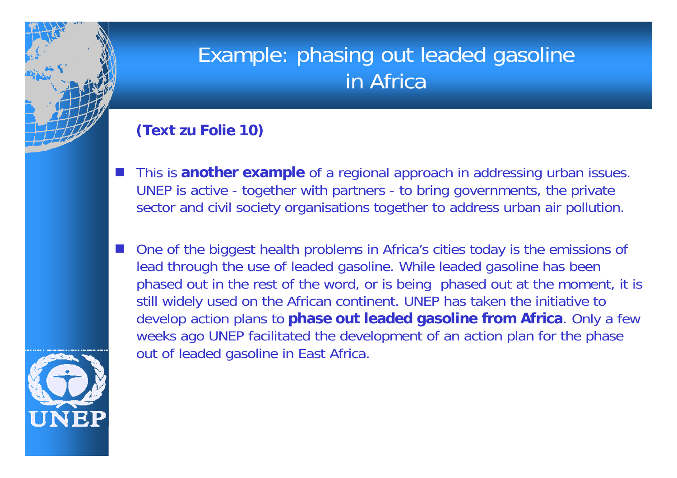### Example: phasing out leaded gasoline in Africa

#### **(Text zu Folie 10)**

- H This is **another example** of a regional approach in addressing urban issues. UNEP is active - together with partners - to bring governments, the private sector and civil society organisations together to address urban air pollution.
- H One of the biggest health problems in Africa's cities today is the emissions of lead through the use of leaded gasoline. While leaded gasoline has been phased out in the rest of the word, or is being phased out at the moment, it is still widely used on the African continent. UNEP has taken the initiative to develop action plans to **phase out leaded gasoline from Africa**. Only a few weeks ago UNEP facilitated the development of an action plan for the phase out of leaded gasoline in East Africa.

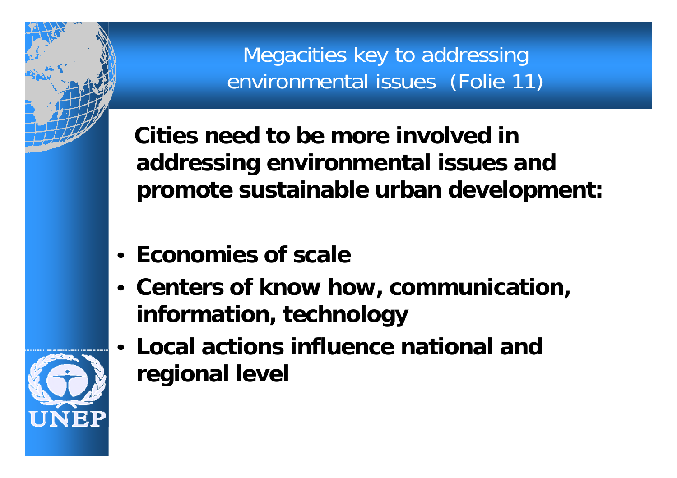Megacities key to addressing environmental issues (Folie 11)

**Cities need to be more involved in addressing environmental issues and promote sustainable urban development:**

- **Economies of scale**
- **Centers of know how, communication, information, technology**
- **Local actions influence national and regional level**

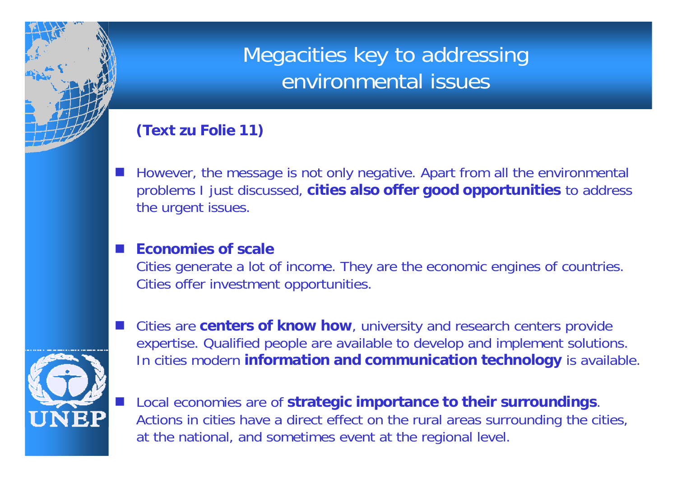### Megacities key to addressing environmental issues

#### **(Text zu Folie 11)**

H However, the message is not only negative. Apart from all the environmental problems I just discussed, **cities also offer good opportunities** to address the urgent issues.

#### H **Economies of scale**

Cities generate a lot of income. They are the economic engines of countries. Cities offer investment opportunities.



H

- Cities are **centers of know how**, university and research centers provide expertise. Qualified people are available to develop and implement solutions. In cities modern **information and communication technology** is available.
- Local economies are of **strategic importance to their surroundings**. Actions in cities have a direct effect on the rural areas surrounding the cities, at the national, and sometimes event at the regional level.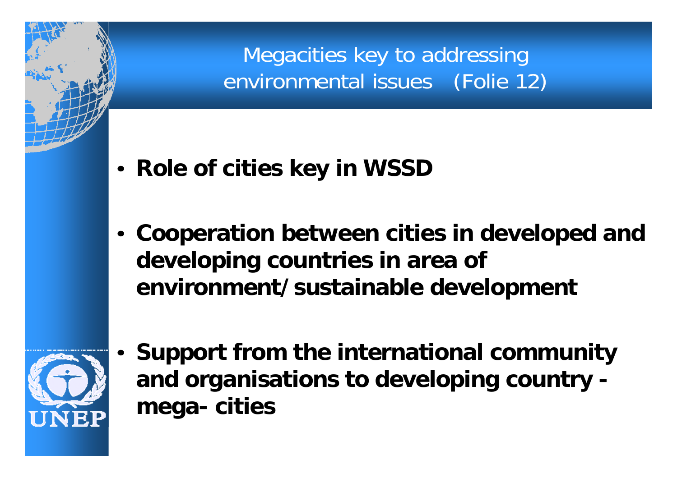Megacities key to addressing environmental issues (Folie 12)

- **Role of cities key in WSSD**
- **Cooperation between cities in developed and developing countries in area of environment/sustainable development**



•

 **Support from the international community and organisations to developing country mega- cities**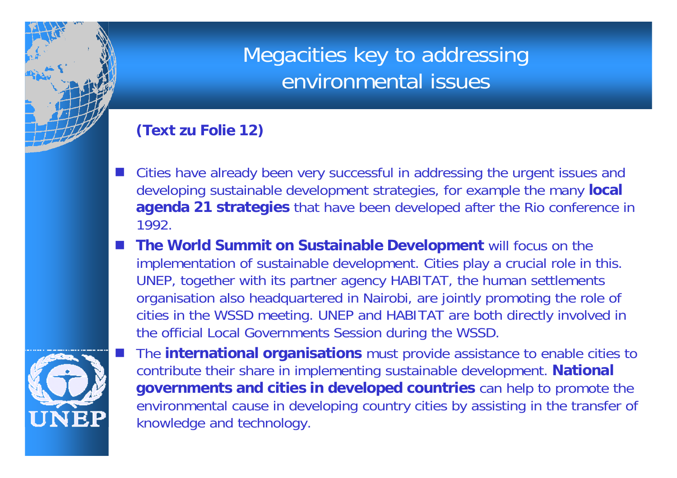### Megacities key to addressing environmental issues

#### **(Text zu Folie 12)**

- H Cities have already been very successful in addressing the urgent issues and developing sustainable development strategies, for example the many **local agenda 21 strategies** that have been developed after the Rio conference in 1992.
- H **The World Summit on Sustainable Development** will focus on the implementation of sustainable development. Cities play a crucial role in this. UNEP, together with its partner agency HABITAT, the human settlements organisation also headquartered in Nairobi, are jointly promoting the role of cities in the WSSD meeting. UNEP and HABITAT are both directly involved in the official Local Governments Session during the WSSD.



 The **international organisations** must provide assistance to enable cities to contribute their share in implementing sustainable development. **National governments and cities in developed countries** can help to promote the environmental cause in developing country cities by assisting in the transfer of knowledge and technology.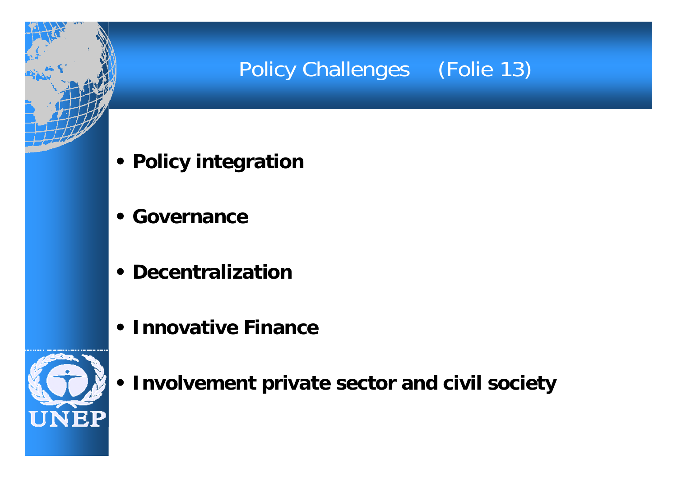### Policy Challenges (Folie 13)

- **• Policy integration**
- **• Governance**
- **• Decentralization**
- **• Innovative Finance**



**• Involvement private sector and civil society**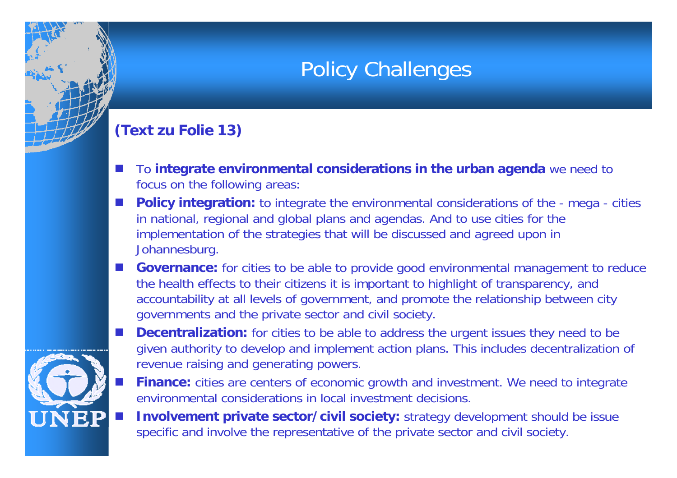### Policy Challenges

#### **(Text zu Folie 13)**

- $\mathbb{R}^3$  To **integrate environmental considerations in the urban agenda** we need to focus on the following areas:
- **Policy integration:** to integrate the environmental considerations of the mega cities in national, regional and global plans and agendas. And to use cities for the implementation of the strategies that will be discussed and agreed upon in Johannesburg.
- **Governance:** for cities to be able to provide good environmental management to reduce the health effects to their citizens it is important to highlight of transparency, and accountability at all levels of government, and promote the relationship between city governments and the private sector and civil society.



- **Decentralization:** for cities to be able to address the urgent issues they need to be given authority to develop and implement action plans. This includes decentralization of revenue raising and generating powers.
- **Finance:** cities are centers of economic growth and investment. We need to integrate environmental considerations in local investment decisions.
- **Involvement private sector/civil society:** strategy development should be issue specific and involve the representative of the private sector and civil society.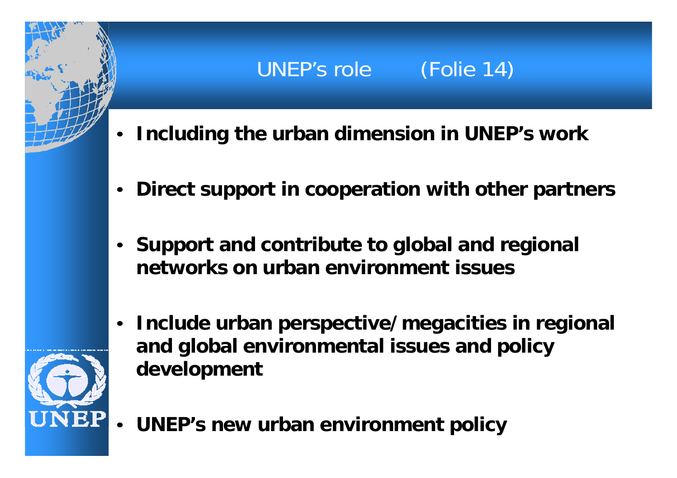## UNEP's role (Folie 14)

- •**Including the urban dimension in UNEP's work**
- •**Direct support in cooperation with other partners**
- **Support and contribute to global and regional networks on urban environment issues**
- • **Include urban perspective/megacities in regional and global environmental issues and policy development**



•**UNEP's new urban environment policy**